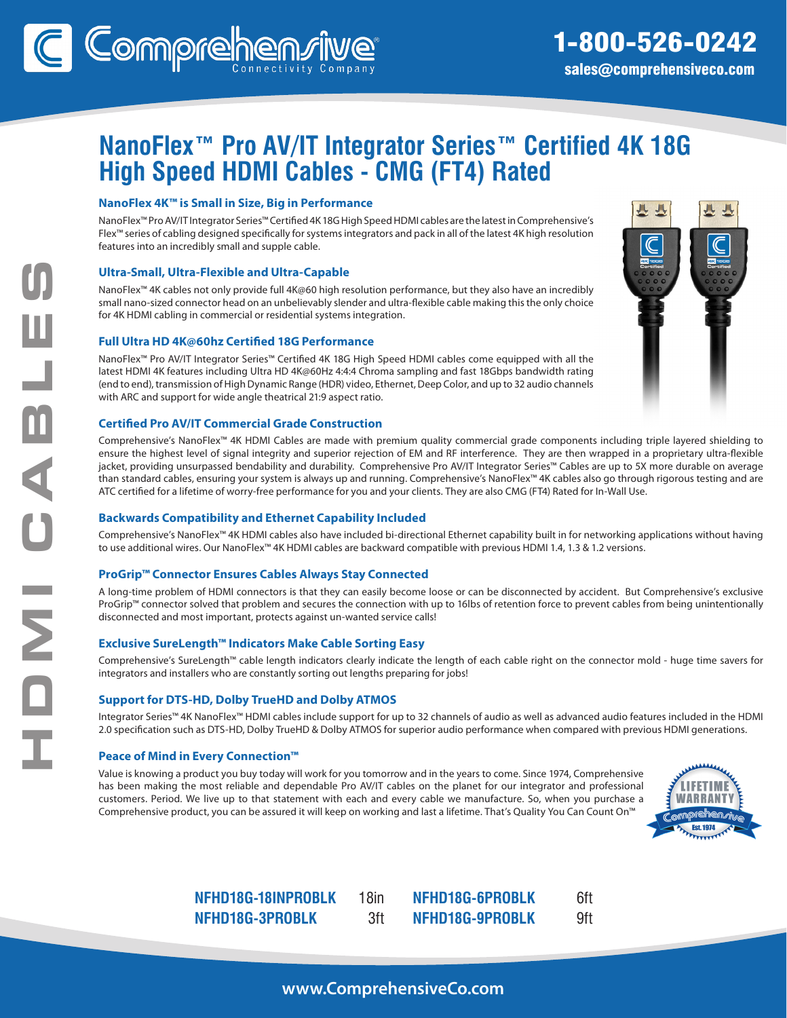# **NanoFlex™ Pro AV/IT Integrator Series™ Certified 4K 18G High Speed HDMI Cables - CMG (FT4) Rated**

### **NanoFlex 4K™ is Small in Size, Big in Performance**

NanoFlex™ Pro AV/IT Integrator Series™ Certified 4K 18G High Speed HDMI cables are the latest in Comprehensive's Flex™ series of cabling designed specifically for systems integrators and pack in all of the latest 4K high resolution features into an incredibly small and supple cable.

### **Ultra-Small, Ultra-Flexible and Ultra-Capable**

NanoFlex™ 4K cables not only provide full 4K@60 high resolution performance, but they also have an incredibly small nano-sized connector head on an unbelievably slender and ultra-flexible cable making this the only choice for 4K HDMI cabling in commercial or residential systems integration.

### **Full Ultra HD 4K@60hz Certified 18G Performance**

NanoFlex™ Pro AV/IT Integrator Series™ Certified 4K 18G High Speed HDMI cables come equipped with all the latest HDMI 4K features including Ultra HD 4K@60Hz 4:4:4 Chroma sampling and fast 18Gbps bandwidth rating (end to end), transmission of High Dynamic Range (HDR) video, Ethernet, Deep Color, and up to 32 audio channels with ARC and support for wide angle theatrical 21:9 aspect ratio.

### **Certified Pro AV/IT Commercial Grade Construction**

Comprehensive's NanoFlex™ 4K HDMI Cables are made with premium quality commercial grade components including triple layered shielding to ensure the highest level of signal integrity and superior rejection of EM and RF interference. They are then wrapped in a proprietary ultra-flexible jacket, providing unsurpassed bendability and durability. Comprehensive Pro AV/IT Integrator Series™ Cables are up to 5X more durable on average than standard cables, ensuring your system is always up and running. Comprehensive's NanoFlex™ 4K cables also go through rigorous testing and are ATC certified for a lifetime of worry-free performance for you and your clients. They are also CMG (FT4) Rated for In-Wall Use.

### **Backwards Compatibility and Ethernet Capability Included**

Comprehensive's NanoFlex™ 4K HDMI cables also have included bi-directional Ethernet capability built in for networking applications without having to use additional wires. Our NanoFlex™ 4K HDMI cables are backward compatible with previous HDMI 1.4, 1.3 & 1.2 versions.

### **ProGrip™ Connector Ensures Cables Always Stay Connected**

A long-time problem of HDMI connectors is that they can easily become loose or can be disconnected by accident. But Comprehensive's exclusive ProGrip™ connector solved that problem and secures the connection with up to 16lbs of retention force to prevent cables from being unintentionally disconnected and most important, protects against un-wanted service calls!

### **Exclusive SureLength™ Indicators Make Cable Sorting Easy**

Comprehensive's SureLength™ cable length indicators clearly indicate the length of each cable right on the connector mold - huge time savers for integrators and installers who are constantly sorting out lengths preparing for jobs!

### **Support for DTS-HD, Dolby TrueHD and Dolby ATMOS**

Integrator Series™ 4K NanoFlex™ HDMI cables include support for up to 32 channels of audio as well as advanced audio features included in the HDMI 2.0 specification such as DTS-HD, Dolby TrueHD & Dolby ATMOS for superior audio performance when compared with previous HDMI generations.

### **Peace of Mind in Every Connection™**

HDMI CABLES

 $\overline{\mathbf{C}}$ 

**NO** 

ABL

Value is knowing a product you buy today will work for you tomorrow and in the years to come. Since 1974, Comprehensive has been making the most reliable and dependable Pro AV/IT cables on the planet for our integrator and professional customers. Period. We live up to that statement with each and every cable we manufacture. So, when you purchase a Comprehensive product, you can be assured it will keep on working and last a lifetime. That's Quality You Can Count On™



**NFHD18G-18INPROBLK** 18in **NFHD18G-3PROBLK** 3ft **NFHD18G-6PROBLK** 6ft **NFHD18G-9PROBLK** 9ft

**www.ComprehensiveCo.com**